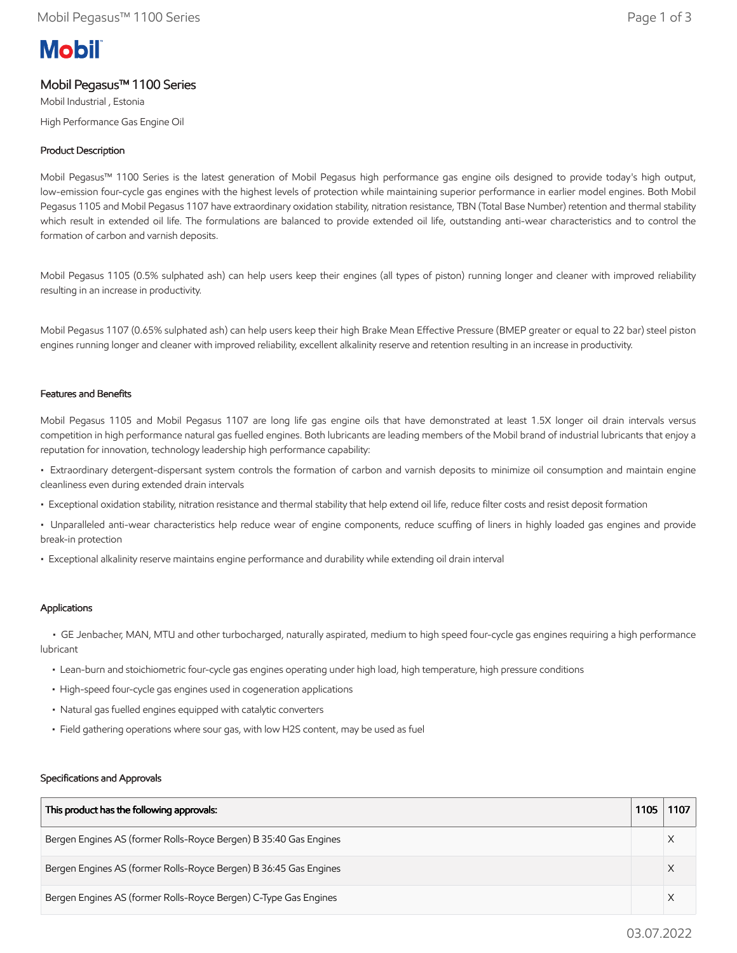# **Mobil**

# Mobil Pegasus™ 1100 Series

Mobil Industrial , Estonia High Performance Gas Engine Oil

# Product Description

Mobil Pegasus™ 1100 Series is the latest generation of Mobil Pegasus high performance gas engine oils designed to provide today's high output, low-emission four-cycle gas engines with the highest levels of protection while maintaining superior performance in earlier model engines. Both Mobil Pegasus 1105 and Mobil Pegasus 1107 have extraordinary oxidation stability, nitration resistance, TBN (Total Base Number) retention and thermal stability which result in extended oil life. The formulations are balanced to provide extended oil life, outstanding anti-wear characteristics and to control the formation of carbon and varnish deposits.

Mobil Pegasus 1105 (0.5% sulphated ash) can help users keep their engines (all types of piston) running longer and cleaner with improved reliability resulting in an increase in productivity.

Mobil Pegasus 1107 (0.65% sulphated ash) can help users keep their high Brake Mean Effective Pressure (BMEP greater or equal to 22 bar) steel piston engines running longer and cleaner with improved reliability, excellent alkalinity reserve and retention resulting in an increase in productivity.

#### Features and Benefits

Mobil Pegasus 1105 and Mobil Pegasus 1107 are long life gas engine oils that have demonstrated at least 1.5X longer oil drain intervals versus competition in high performance natural gas fuelled engines. Both lubricants are leading members of the Mobil brand of industrial lubricants that enjoy a reputation for innovation, technology leadership high performance capability:

• Extraordinary detergent-dispersant system controls the formation of carbon and varnish deposits to minimize oil consumption and maintain engine cleanliness even during extended drain intervals

- Exceptional oxidation stability, nitration resistance and thermal stability that help extend oil life, reduce filter costs and resist deposit formation
- Unparalleled anti-wear characteristics help reduce wear of engine components, reduce scuffing of liners in highly loaded gas engines and provide break-in protection
- Exceptional alkalinity reserve maintains engine performance and durability while extending oil drain interval

## Applications

 • GE Jenbacher, MAN, MTU and other turbocharged, naturally aspirated, medium to high speed four-cycle gas engines requiring a high performance lubricant

- Lean-burn and stoichiometric four-cycle gas engines operating under high load, high temperature, high pressure conditions
- High-speed four-cycle gas engines used in cogeneration applications
- Natural gas fuelled engines equipped with catalytic converters
- Field gathering operations where sour gas, with low H2S content, may be used as fuel

#### Specifications and Approvals

| This product has the following approvals:                         | 1105 | 1107 |
|-------------------------------------------------------------------|------|------|
| Bergen Engines AS (former Rolls-Royce Bergen) B 35:40 Gas Engines |      |      |
| Bergen Engines AS (former Rolls-Royce Bergen) B 36:45 Gas Engines |      |      |
| Bergen Engines AS (former Rolls-Royce Bergen) C-Type Gas Engines  |      |      |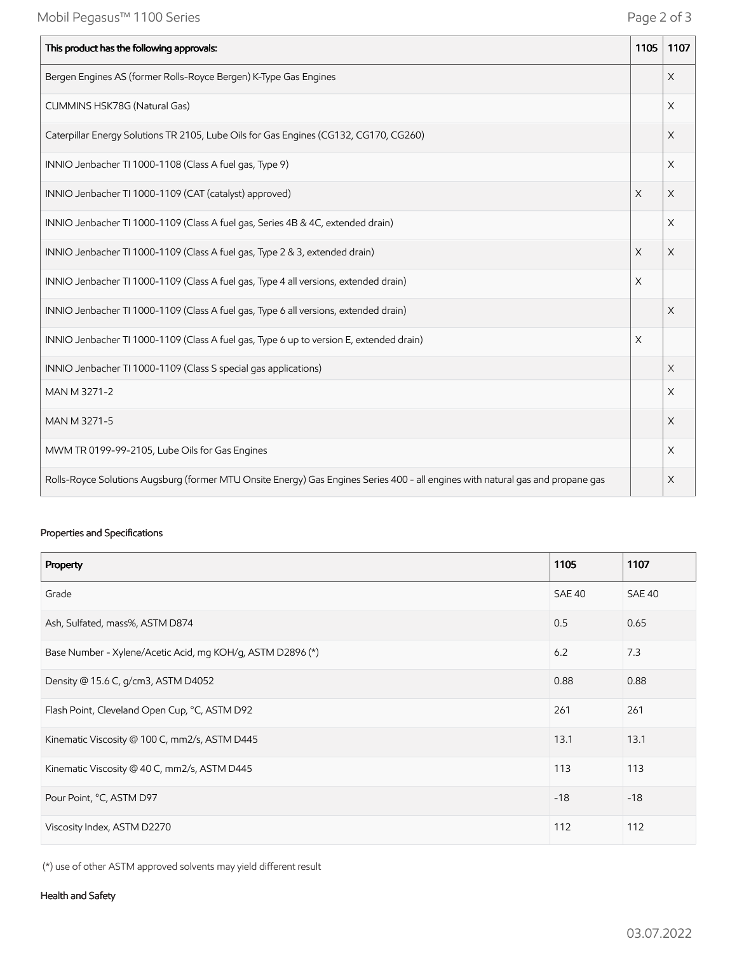| This product has the following approvals:                                                                                       | 1105                  | 1107     |
|---------------------------------------------------------------------------------------------------------------------------------|-----------------------|----------|
| Bergen Engines AS (former Rolls-Royce Bergen) K-Type Gas Engines                                                                |                       | X        |
| CUMMINS HSK78G (Natural Gas)                                                                                                    |                       | X        |
| Caterpillar Energy Solutions TR 2105, Lube Oils for Gas Engines (CG132, CG170, CG260)                                           |                       | X        |
| INNIO Jenbacher TI 1000-1108 (Class A fuel gas, Type 9)                                                                         |                       | X        |
| INNIO Jenbacher TI 1000-1109 (CAT (catalyst) approved)                                                                          | $\times$              | X        |
| INNIO Jenbacher TI 1000-1109 (Class A fuel gas, Series 4B & 4C, extended drain)                                                 |                       | X        |
| INNIO Jenbacher TI 1000-1109 (Class A fuel gas, Type 2 & 3, extended drain)                                                     | X                     | X        |
| INNIO Jenbacher TI 1000-1109 (Class A fuel gas, Type 4 all versions, extended drain)                                            | X                     |          |
| INNIO Jenbacher TI 1000-1109 (Class A fuel gas, Type 6 all versions, extended drain)                                            |                       | $\times$ |
| INNIO Jenbacher TI 1000-1109 (Class A fuel gas, Type 6 up to version E, extended drain)                                         | $\boldsymbol{\times}$ |          |
| INNIO Jenbacher TI 1000-1109 (Class S special gas applications)                                                                 |                       | X        |
| MAN M 3271-2                                                                                                                    |                       | X        |
| MAN M 3271-5                                                                                                                    |                       | X        |
| MWM TR 0199-99-2105, Lube Oils for Gas Engines                                                                                  |                       | X        |
| Rolls-Royce Solutions Augsburg (former MTU Onsite Energy) Gas Engines Series 400 - all engines with natural gas and propane gas |                       | X        |

# Properties and Specifications

| Property                                                   | 1105   | 1107          |
|------------------------------------------------------------|--------|---------------|
| Grade                                                      | SAE 40 | <b>SAE 40</b> |
| Ash, Sulfated, mass%, ASTM D874                            | 0.5    | 0.65          |
| Base Number - Xylene/Acetic Acid, mg KOH/g, ASTM D2896 (*) | 6.2    | 7.3           |
| Density @ 15.6 C, g/cm3, ASTM D4052                        | 0.88   | 0.88          |
| Flash Point, Cleveland Open Cup, °C, ASTM D92              | 261    | 261           |
| Kinematic Viscosity @ 100 C, mm2/s, ASTM D445              | 13.1   | 13.1          |
| Kinematic Viscosity @ 40 C, mm2/s, ASTM D445               | 113    | 113           |
| Pour Point, °C, ASTM D97                                   | $-18$  | $-18$         |
| Viscosity Index, ASTM D2270                                | 112    | 112           |

(\*) use of other ASTM approved solvents may yield different result